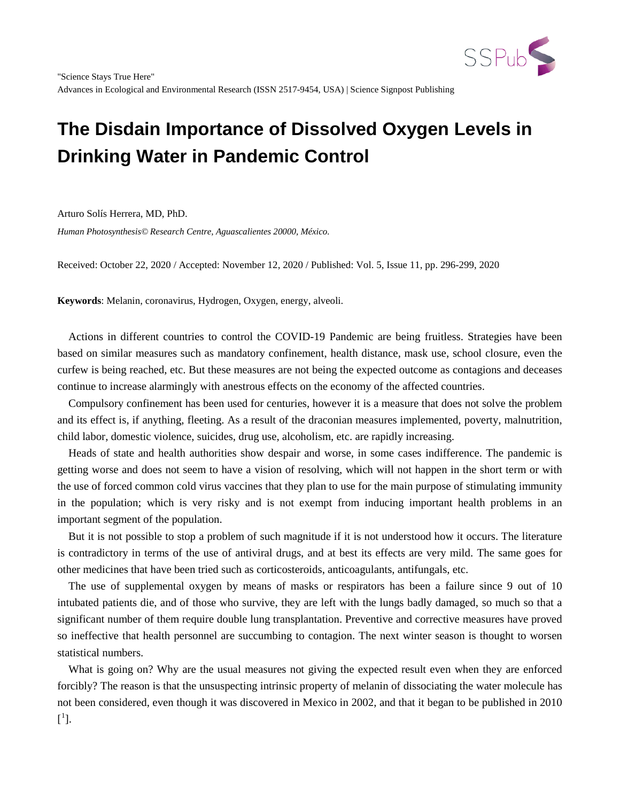

Arturo Solís Herrera, MD, PhD.

*Human Photosynthesis© Research Centre, Aguascalientes 20000, México.*

Received: October 22, 2020 / Accepted: November 12, 2020 / Published: Vol. 5, Issue 11, pp. 296-299, 2020

**Keywords**: Melanin, coronavirus, Hydrogen, Oxygen, energy, alveoli.

Actions in different countries to control the COVID-19 Pandemic are being fruitless. Strategies have been based on similar measures such as mandatory confinement, health distance, mask use, school closure, even the curfew is being reached, etc. But these measures are not being the expected outcome as contagions and deceases continue to increase alarmingly with anestrous effects on the economy of the affected countries.

Compulsory confinement has been used for centuries, however it is a measure that does not solve the problem and its effect is, if anything, fleeting. As a result of the draconian measures implemented, poverty, malnutrition, child labor, domestic violence, suicides, drug use, alcoholism, etc. are rapidly increasing.

Heads of state and health authorities show despair and worse, in some cases indifference. The pandemic is getting worse and does not seem to have a vision of resolving, which will not happen in the short term or with the use of forced common cold virus vaccines that they plan to use for the main purpose of stimulating immunity in the population; which is very risky and is not exempt from inducing important health problems in an important segment of the population.

But it is not possible to stop a problem of such magnitude if it is not understood how it occurs. The literature is contradictory in terms of the use of antiviral drugs, and at best its effects are very mild. The same goes for other medicines that have been tried such as corticosteroids, anticoagulants, antifungals, etc.

The use of supplemental oxygen by means of masks or respirators has been a failure since 9 out of 10 intubated patients die, and of those who survive, they are left with the lungs badly damaged, so much so that a significant number of them require double lung transplantation. Preventive and corrective measures have proved so ineffective that health personnel are succumbing to contagion. The next winter season is thought to worsen statistical numbers.

What is going on? Why are the usual measures not giving the expected result even when they are enforced forcibly? The reason is that the unsuspecting intrinsic property of melanin of dissociating the water molecule has not been considered, even though it was discovered in Mexico in 2002, and that it began to be published in 2010  $[^1].$  $[^1].$  $[^1].$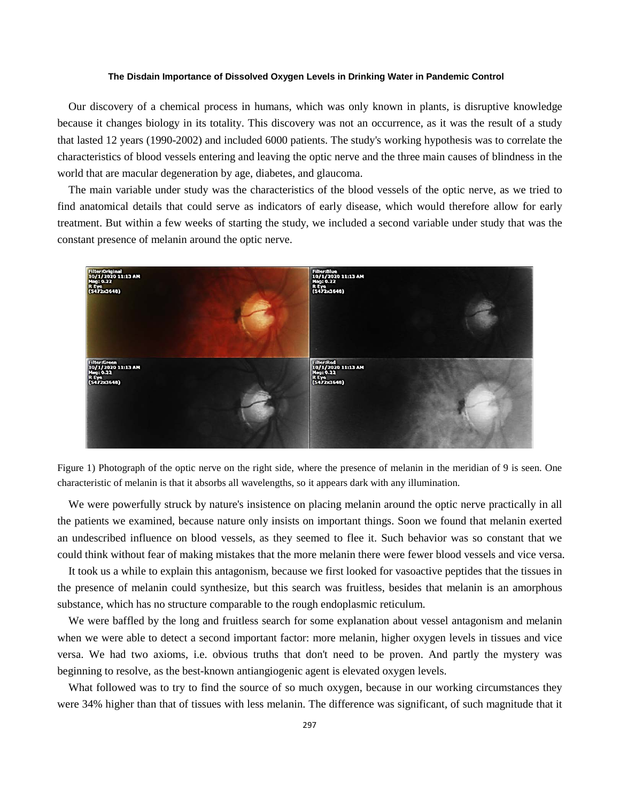Our discovery of a chemical process in humans, which was only known in plants, is disruptive knowledge because it changes biology in its totality. This discovery was not an occurrence, as it was the result of a study that lasted 12 years (1990-2002) and included 6000 patients. The study's working hypothesis was to correlate the characteristics of blood vessels entering and leaving the optic nerve and the three main causes of blindness in the world that are macular degeneration by age, diabetes, and glaucoma.

The main variable under study was the characteristics of the blood vessels of the optic nerve, as we tried to find anatomical details that could serve as indicators of early disease, which would therefore allow for early treatment. But within a few weeks of starting the study, we included a second variable under study that was the constant presence of melanin around the optic nerve.





We were powerfully struck by nature's insistence on placing melanin around the optic nerve practically in all the patients we examined, because nature only insists on important things. Soon we found that melanin exerted an undescribed influence on blood vessels, as they seemed to flee it. Such behavior was so constant that we could think without fear of making mistakes that the more melanin there were fewer blood vessels and vice versa.

It took us a while to explain this antagonism, because we first looked for vasoactive peptides that the tissues in the presence of melanin could synthesize, but this search was fruitless, besides that melanin is an amorphous substance, which has no structure comparable to the rough endoplasmic reticulum.

We were baffled by the long and fruitless search for some explanation about vessel antagonism and melanin when we were able to detect a second important factor: more melanin, higher oxygen levels in tissues and vice versa. We had two axioms, i.e. obvious truths that don't need to be proven. And partly the mystery was beginning to resolve, as the best-known antiangiogenic agent is elevated oxygen levels.

What followed was to try to find the source of so much oxygen, because in our working circumstances they were 34% higher than that of tissues with less melanin. The difference was significant, of such magnitude that it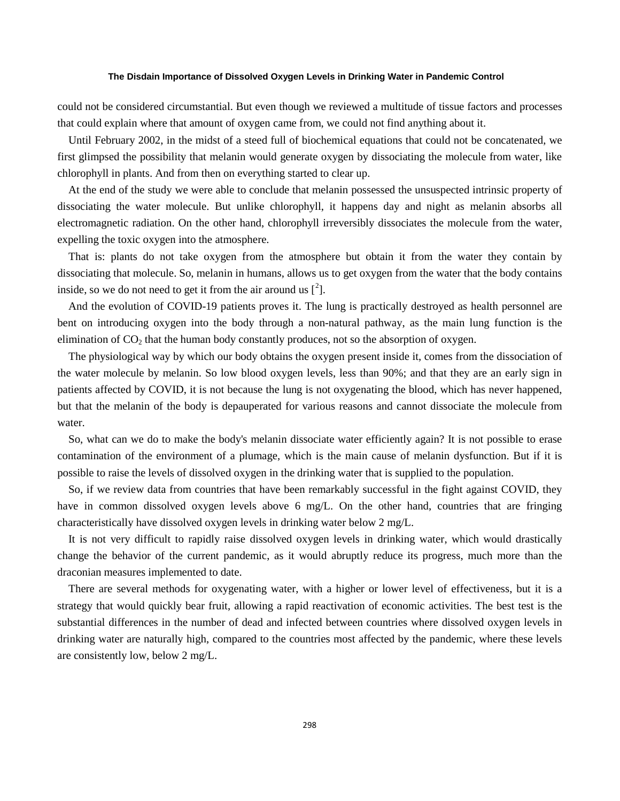could not be considered circumstantial. But even though we reviewed a multitude of tissue factors and processes that could explain where that amount of oxygen came from, we could not find anything about it.

Until February 2002, in the midst of a steed full of biochemical equations that could not be concatenated, we first glimpsed the possibility that melanin would generate oxygen by dissociating the molecule from water, like chlorophyll in plants. And from then on everything started to clear up.

At the end of the study we were able to conclude that melanin possessed the unsuspected intrinsic property of dissociating the water molecule. But unlike chlorophyll, it happens day and night as melanin absorbs all electromagnetic radiation. On the other hand, chlorophyll irreversibly dissociates the molecule from the water, expelling the toxic oxygen into the atmosphere.

That is: plants do not take oxygen from the atmosphere but obtain it from the water they contain by dissociating that molecule. So, melanin in humans, allows us to get oxygen from the water that the body contains inside, so we do not need to get it from the air around us  $[^2]$  $[^2]$  $[^2]$ .

And the evolution of COVID-19 patients proves it. The lung is practically destroyed as health personnel are bent on introducing oxygen into the body through a non-natural pathway, as the main lung function is the elimination of  $CO<sub>2</sub>$  that the human body constantly produces, not so the absorption of oxygen.

The physiological way by which our body obtains the oxygen present inside it, comes from the dissociation of the water molecule by melanin. So low blood oxygen levels, less than 90%; and that they are an early sign in patients affected by COVID, it is not because the lung is not oxygenating the blood, which has never happened, but that the melanin of the body is depauperated for various reasons and cannot dissociate the molecule from water.

So, what can we do to make the body's melanin dissociate water efficiently again? It is not possible to erase contamination of the environment of a plumage, which is the main cause of melanin dysfunction. But if it is possible to raise the levels of dissolved oxygen in the drinking water that is supplied to the population.

So, if we review data from countries that have been remarkably successful in the fight against COVID, they have in common dissolved oxygen levels above 6 mg/L. On the other hand, countries that are fringing characteristically have dissolved oxygen levels in drinking water below 2 mg/L.

It is not very difficult to rapidly raise dissolved oxygen levels in drinking water, which would drastically change the behavior of the current pandemic, as it would abruptly reduce its progress, much more than the draconian measures implemented to date.

There are several methods for oxygenating water, with a higher or lower level of effectiveness, but it is a strategy that would quickly bear fruit, allowing a rapid reactivation of economic activities. The best test is the substantial differences in the number of dead and infected between countries where dissolved oxygen levels in drinking water are naturally high, compared to the countries most affected by the pandemic, where these levels are consistently low, below 2 mg/L.